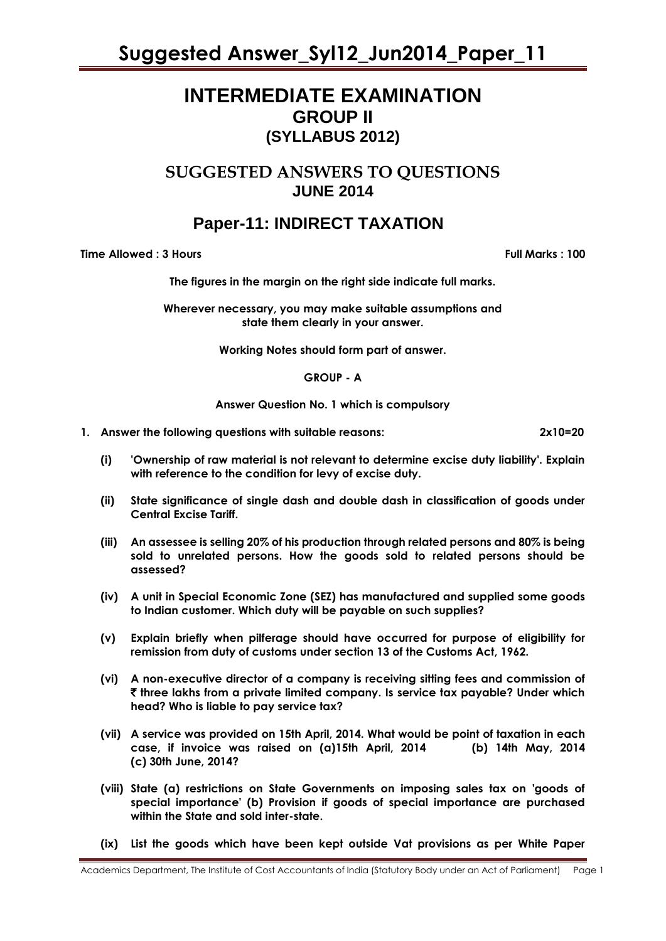# **INTERMEDIATE EXAMINATION GROUP II (SYLLABUS 2012)**

# **SUGGESTED ANSWERS TO QUESTIONS JUNE 2014**

# **Paper-11: INDIRECT TAXATION**

**Time Allowed : 3 Hours Full Marks Full Marks : 100** 

**The figures in the margin on the right side indicate full marks.**

**Wherever necessary, you may make suitable assumptions and state them clearly in your answer.**

**Working Notes should form part of answer.** 

**GROUP - A**

**Answer Question No. 1 which is compulsory**

**1. Answer the following questions with suitable reasons: 2x10=20**

- **(i) 'Ownership of raw material is not relevant to determine excise duty liability'. Explain with reference to the condition for levy of excise duty.**
- **(ii) State significance of single dash and double dash in classification of goods under Central Excise Tariff.**
- **(iii) An assessee is selling 20% of his production through related persons and 80% is being sold to unrelated persons. How the goods sold to related persons should be assessed?**
- **(iv) A unit in Special Economic Zone (SEZ) has manufactured and supplied some goods to Indian customer. Which duty will be payable on such supplies?**
- **(v) Explain briefly when pilferage should have occurred for purpose of eligibility for remission from duty of customs under section 13 of the Customs Act, 1962.**
- **(vi) A non-executive director of a company is receiving sitting fees and commission of**  ` **three lakhs from a private limited company. Is service tax payable? Under which head? Who is liable to pay service tax?**
- **(vii) A service was provided on 15th April, 2014. What would be point of taxation in each case, if invoice was raised on (a)15th April, 2014 (b) 14th May, 2014 (c) 30th June, 2014?**
- **(viii) State (a) restrictions on State Governments on imposing sales tax on 'goods of special importance' (b) Provision if goods of special importance are purchased within the State and sold inter-state.**
- **(ix) List the goods which have been kept outside Vat provisions as per White Paper**

Academics Department, The Institute of Cost Accountants of India (Statutory Body under an Act of Parliament) Page 1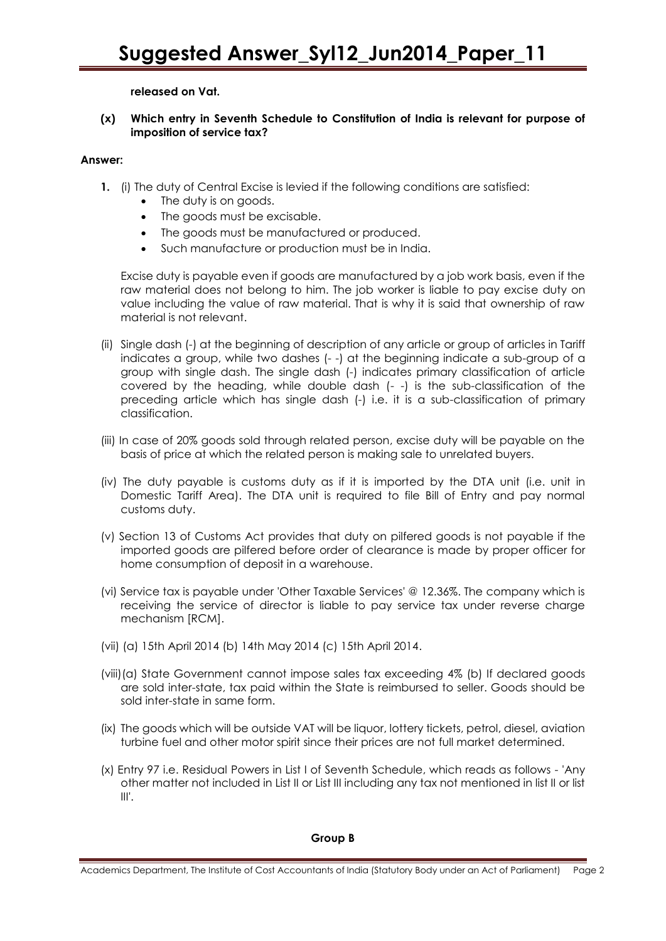# **released on Vat.**

# **(x) Which entry in Seventh Schedule to Constitution of India is relevant for purpose of imposition of service tax?**

## **Answer:**

- **1.** (i) The duty of Central Excise is levied if the following conditions are satisfied:
	- The duty is on goods.
	- The goods must be excisable.
	- The goods must be manufactured or produced.
	- Such manufacture or production must be in India.

Excise duty is payable even if goods are manufactured by a job work basis, even if the raw material does not belong to him. The job worker is liable to pay excise duty on value including the value of raw material. That is why it is said that ownership of raw material is not relevant.

- (ii) Single dash (-) at the beginning of description of any article or group of articles in Tariff indicates a group, while two dashes (- -) at the beginning indicate a sub-group of a group with single dash. The single dash (-) indicates primary classification of article covered by the heading, while double dash (- -) is the sub-classification of the preceding article which has single dash (-) i.e. it is a sub-classification of primary classification.
- (iii) In case of 20% goods sold through related person, excise duty will be payable on the basis of price at which the related person is making sale to unrelated buyers.
- (iv) The duty payable is customs duty as if it is imported by the DTA unit (i.e. unit in Domestic Tariff Area). The DTA unit is required to file Bill of Entry and pay normal customs duty.
- (v) Section 13 of Customs Act provides that duty on pilfered goods is not payable if the imported goods are pilfered before order of clearance is made by proper officer for home consumption of deposit in a warehouse.
- (vi) Service tax is payable under 'Other Taxable Services' @ 12.36%. The company which is receiving the service of director is liable to pay service tax under reverse charge mechanism [RCM].
- (vii) (a) 15th April 2014 (b) 14th May 2014 (c) 15th April 2014.
- (viii)(a) State Government cannot impose sales tax exceeding 4% (b) If declared goods are sold inter-state, tax paid within the State is reimbursed to seller. Goods should be sold inter-state in same form.
- (ix) The goods which will be outside VAT will be liquor, lottery tickets, petrol, diesel, aviation turbine fuel and other motor spirit since their prices are not full market determined.
- (x) Entry 97 i.e. Residual Powers in List I of Seventh Schedule, which reads as follows 'Any other matter not included in List II or List III including any tax not mentioned in list II or list  $III'.$

### **Group B**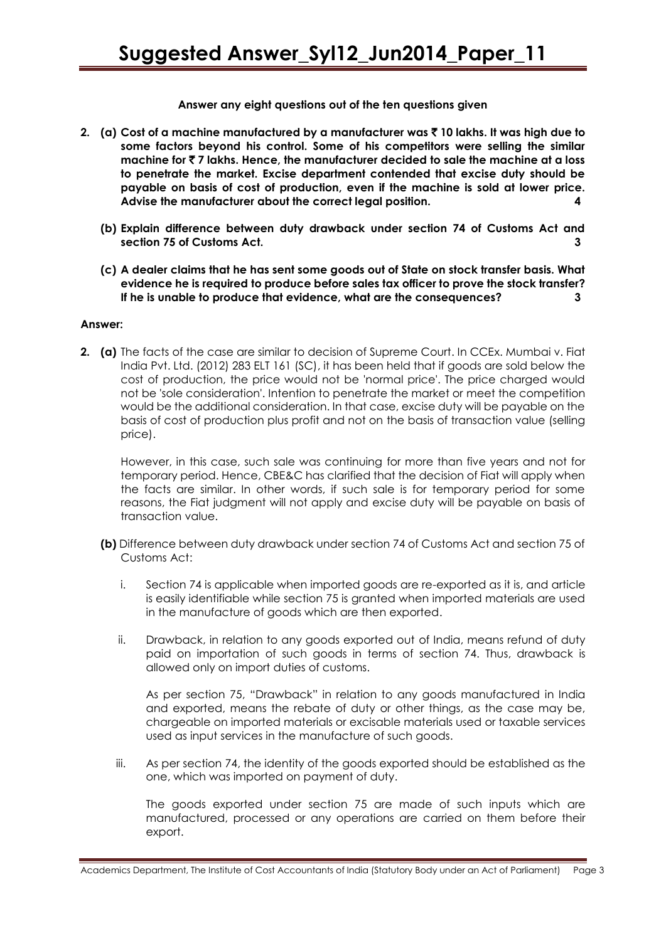## **Answer any eight questions out of the ten questions given**

- **2. (a) Cost of a machine manufactured by a manufacturer was** ` **10 lakhs. It was high due to some factors beyond his control. Some of his competitors were selling the similar machine for** ` **7 lakhs. Hence, the manufacturer decided to sale the machine at a loss to penetrate the market. Excise department contended that excise duty should be payable on basis of cost of production, even if the machine is sold at lower price. Advise the manufacturer about the correct legal position. 4**
	- **(b) Explain difference between duty drawback under section 74 of Customs Act and** section 75 of Customs Act.
	- **(c) A dealer claims that he has sent some goods out of State on stock transfer basis. What evidence he is required to produce before sales tax officer to prove the stock transfer? If he is unable to produce that evidence, what are the consequences? 3**

### **Answer:**

**2. (a)** The facts of the case are similar to decision of Supreme Court. In CCEx. Mumbai v. Fiat India Pvt. Ltd. (2012) 283 ELT 161 (SC), it has been held that if goods are sold below the cost of production, the price would not be 'normal price'. The price charged would not be 'sole consideration'. Intention to penetrate the market or meet the competition would be the additional consideration. In that case, excise duty will be payable on the basis of cost of production plus profit and not on the basis of transaction value (selling price).

However, in this case, such sale was continuing for more than five years and not for temporary period. Hence, CBE&C has clarified that the decision of Fiat will apply when the facts are similar. In other words, if such sale is for temporary period for some reasons, the Fiat judgment will not apply and excise duty will be payable on basis of transaction value.

- **(b)** Difference between duty drawback under section 74 of Customs Act and section 75 of Customs Act:
	- i. Section 74 is applicable when imported goods are re-exported as it is, and article is easily identifiable while section 75 is granted when imported materials are used in the manufacture of goods which are then exported.
	- ii. Drawback, in relation to any goods exported out of India, means refund of duty paid on importation of such goods in terms of section 74. Thus, drawback is allowed only on import duties of customs.

As per section 75, "Drawback" in relation to any goods manufactured in India and exported, means the rebate of duty or other things, as the case may be, chargeable on imported materials or excisable materials used or taxable services used as input services in the manufacture of such goods.

iii. As per section 74, the identity of the goods exported should be established as the one, which was imported on payment of duty.

The goods exported under section 75 are made of such inputs which are manufactured, processed or any operations are carried on them before their export.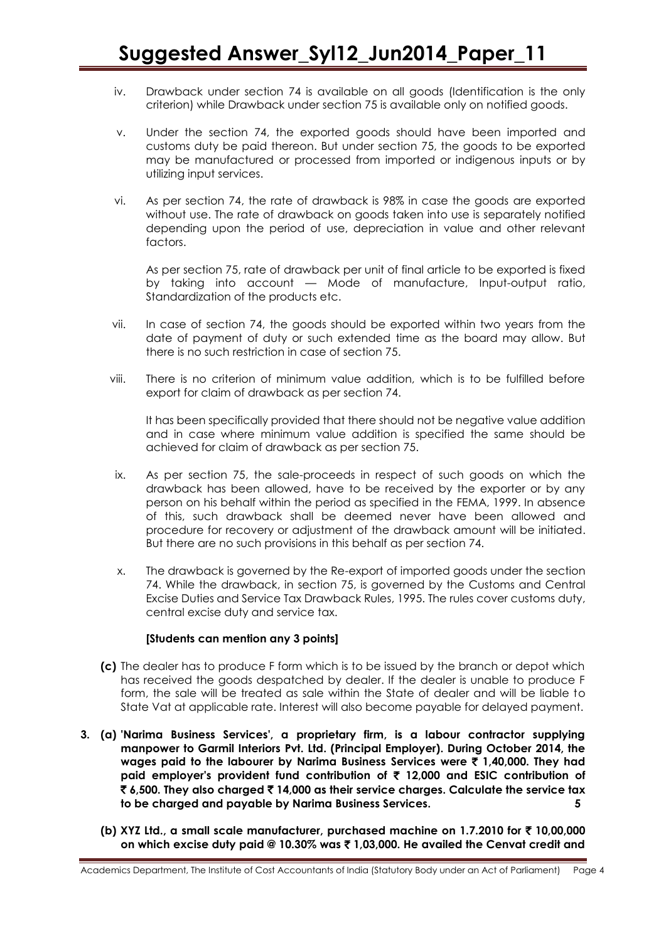- iv. Drawback under section 74 is available on all goods (Identification is the only criterion) while Drawback under section 75 is available only on notified goods.
- v. Under the section 74, the exported goods should have been imported and customs duty be paid thereon. But under section 75, the goods to be exported may be manufactured or processed from imported or indigenous inputs or by utilizing input services.
- vi. As per section 74, the rate of drawback is 98% in case the goods are exported without use. The rate of drawback on goods taken into use is separately notified depending upon the period of use, depreciation in value and other relevant factors.

As per section 75, rate of drawback per unit of final article to be exported is fixed by taking into account — Mode of manufacture, Input-output ratio, Standardization of the products etc.

- vii. In case of section 74, the goods should be exported within two years from the date of payment of duty or such extended time as the board may allow. But there is no such restriction in case of section 75.
- viii. There is no criterion of minimum value addition, which is to be fulfilled before export for claim of drawback as per section 74.

It has been specifically provided that there should not be negative value addition and in case where minimum value addition is specified the same should be achieved for claim of drawback as per section 75.

- ix. As per section 75, the sale-proceeds in respect of such goods on which the drawback has been allowed, have to be received by the exporter or by any person on his behalf within the period as specified in the FEMA, 1999. In absence of this, such drawback shall be deemed never have been allowed and procedure for recovery or adjustment of the drawback amount will be initiated. But there are no such provisions in this behalf as per section 74.
- x. The drawback is governed by the Re-export of imported goods under the section 74. While the drawback, in section 75, is governed by the Customs and Central Excise Duties and Service Tax Drawback Rules, 1995. The rules cover customs duty, central excise duty and service tax.

### **[Students can mention any 3 points]**

- **(c)** The dealer has to produce F form which is to be issued by the branch or depot which has received the goods despatched by dealer. If the dealer is unable to produce F form, the sale will be treated as sale within the State of dealer and will be liable to State Vat at applicable rate. Interest will also become payable for delayed payment.
- **3. (a) 'Narima Business Services', a proprietary firm, is a labour contractor supplying manpower to Garmil Interiors Pvt. Ltd. (Principal Employer). During October 2014, the wages paid to the labourer by Narima Business Services were** ` **1,40,000. They had paid employer's provident fund contribution of** ` **12,000 and ESIC contribution of**  ` **6,500. They also charged** ` **14,000 as their service charges. Calculate the service tax to be charged and payable by Narima Business Services. 5**
	- **(b) XYZ Ltd., a small scale manufacturer, purchased machine on 1.7.2010 for** ` **10,00,000 on which excise duty paid @ 10.30% was** ` **1,03,000. He availed the Cenvat credit and**

Academics Department, The Institute of Cost Accountants of India (Statutory Body under an Act of Parliament) Page 4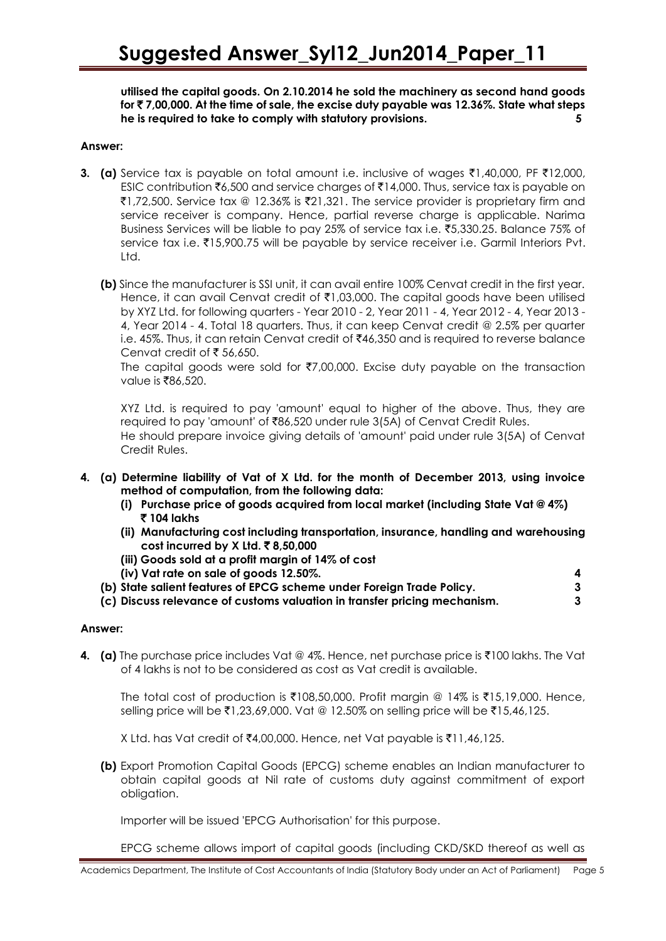**utilised the capital goods. On 2.10.2014 he sold the machinery as second hand goods for** ` **7,00,000. At the time of sale, the excise duty payable was 12.36%. State what steps he is required to take to comply with statutory provisions. 5**

## **Answer:**

- **3.** (a) Service tax is payable on total amount i.e. inclusive of wages  $\bar{\tau}$ 1,40,000, PF  $\bar{\tau}$ 12,000, ESIC contribution  $\bar{\xi}$ 6,500 and service charges of  $\bar{\xi}$ 14,000. Thus, service tax is payable on  $\texttt{[71,72,500]}$ . Service tax @ 12.36% is  $\texttt{[21,321]}$ . The service provider is proprietary firm and service receiver is company. Hence, partial reverse charge is applicable. Narima Business Services will be liable to pay 25% of service tax i.e. ₹5,330.25. Balance 75% of service tax i.e. ₹15,900.75 will be payable by service receiver i.e. Garmil Interiors Pvt. Ltd.
	- **(b)** Since the manufacturer is SSI unit, it can avail entire 100% Cenvat credit in the first year. Hence, it can avail Cenvat credit of  $\bar{\mathfrak{e}}$ 1,03,000. The capital goods have been utilised by XYZ Ltd. for following quarters - Year 2010 - 2, Year 2011 - 4, Year 2012 - 4, Year 2013 - 4, Year 2014 - 4. Total 18 quarters. Thus, it can keep Cenvat credit @ 2.5% per quarter i.e. 45%. Thus, it can retain Cenvat credit of ₹46,350 and is required to reverse balance Cenvat credit of  $\bar{\bar{\xi}}$  56,650.

The capital goods were sold for  $\overline{(7,00,000)}$ . Excise duty payable on the transaction value is  $\bar{x}86,520$ .

XYZ Ltd. is required to pay 'amount' equal to higher of the above. Thus, they are required to pay 'amount' of ₹86,520 under rule 3(5A) of Cenvat Credit Rules. He should prepare invoice giving details of 'amount' paid under rule 3(5A) of Cenvat Credit Rules.

- **4. (a) Determine liability of Vat of X Ltd. for the month of December 2013, using invoice method of computation, from the following data:**
	- **(i) Purchase price of goods acquired from local market (including State Vat @ 4%)**  ` **104 lakhs**
	- **(ii) Manufacturing cost including transportation, insurance, handling and warehousing cost incurred by X Ltd. ₹8,50,000**
	- **(iii) Goods sold at a profit margin of 14% of cost**
	- **(iv) Vat rate on sale of goods 12.50%. 4**
	- **(b) State salient features of EPCG scheme under Foreign Trade Policy. 3**
	- **(c) Discuss relevance of customs valuation in transfer pricing mechanism. 3**

### **Answer:**

**4.** (a) The purchase price includes Vat @ 4%. Hence, net purchase price is  $\bar{\tau}$ 100 lakhs. The Vat of 4 lakhs is not to be considered as cost as Vat credit is available.

The total cost of production is  $\overline{\xi}108,50,000$ . Profit margin @ 14% is  $\overline{\xi}15,19,000$ . Hence, selling price will be ₹1,23,69,000. Vat @ 12.50% on selling price will be ₹15,46,125.

X Ltd. has Vat credit of ₹4,00,000. Hence, net Vat payable is ₹11,46,125.

**(b)** Export Promotion Capital Goods (EPCG) scheme enables an Indian manufacturer to obtain capital goods at Nil rate of customs duty against commitment of export obligation.

Importer will be issued 'EPCG Authorisation' for this purpose.

EPCG scheme allows import of capital goods (including CKD/SKD thereof as well as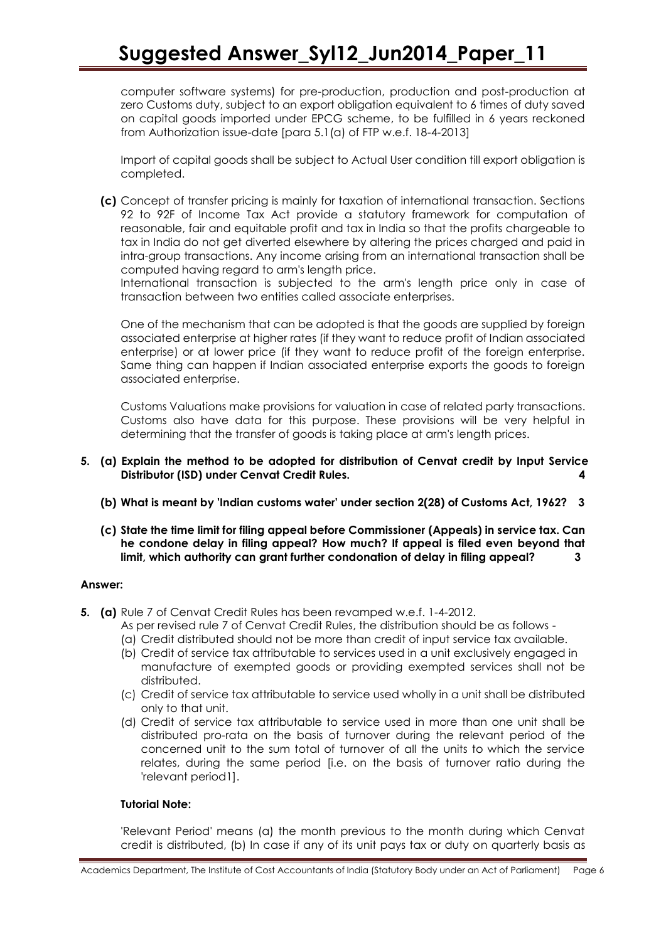computer software systems) for pre-production, production and post-production at zero Customs duty, subject to an export obligation equivalent to 6 times of duty saved on capital goods imported under EPCG scheme, to be fulfilled in 6 years reckoned from Authorization issue-date [para 5.1(a) of FTP w.e.f. 18-4-2013]

Import of capital goods shall be subject to Actual User condition till export obligation is completed.

**(c)** Concept of transfer pricing is mainly for taxation of international transaction. Sections 92 to 92F of Income Tax Act provide a statutory framework for computation of reasonable, fair and equitable profit and tax in India so that the profits chargeable to tax in India do not get diverted elsewhere by altering the prices charged and paid in intra-group transactions. Any income arising from an international transaction shall be computed having regard to arm's length price.

International transaction is subjected to the arm's length price only in case of transaction between two entities called associate enterprises.

One of the mechanism that can be adopted is that the goods are supplied by foreign associated enterprise at higher rates (if they want to reduce profit of Indian associated enterprise) or at lower price (if they want to reduce profit of the foreign enterprise. Same thing can happen if Indian associated enterprise exports the goods to foreign associated enterprise.

Customs Valuations make provisions for valuation in case of related party transactions. Customs also have data for this purpose. These provisions will be very helpful in determining that the transfer of goods is taking place at arm's length prices.

- **5. (a) Explain the method to be adopted for distribution of Cenvat credit by Input Service Distributor (ISD) under Cenvat Credit Rules. 4**
	- **(b) What is meant by 'Indian customs water' under section 2(28) of Customs Act, 1962? 3**
	- **(c) State the time limit for filing appeal before Commissioner (Appeals) in service tax. Can he condone delay in filing appeal? How much? If appeal is filed even beyond that limit, which authority can grant further condonation of delay in filing appeal? 3**

### **Answer:**

- **5. (a)** Rule 7 of Cenvat Credit Rules has been revamped w.e.f. 1-4-2012.
	- As per revised rule 7 of Cenvat Credit Rules, the distribution should be as follows -
	- (a) Credit distributed should not be more than credit of input service tax available.
	- (b) Credit of service tax attributable to services used in a unit exclusively engaged in manufacture of exempted goods or providing exempted services shall not be distributed.
	- (c) Credit of service tax attributable to service used wholly in a unit shall be distributed only to that unit.
	- (d) Credit of service tax attributable to service used in more than one unit shall be distributed pro-rata on the basis of turnover during the relevant period of the concerned unit to the sum total of turnover of all the units to which the service relates, during the same period [i.e. on the basis of turnover ratio during the 'relevant period1].

### **Tutorial Note:**

'Relevant Period' means (a) the month previous to the month during which Cenvat credit is distributed, (b) In case if any of its unit pays tax or duty on quarterly basis as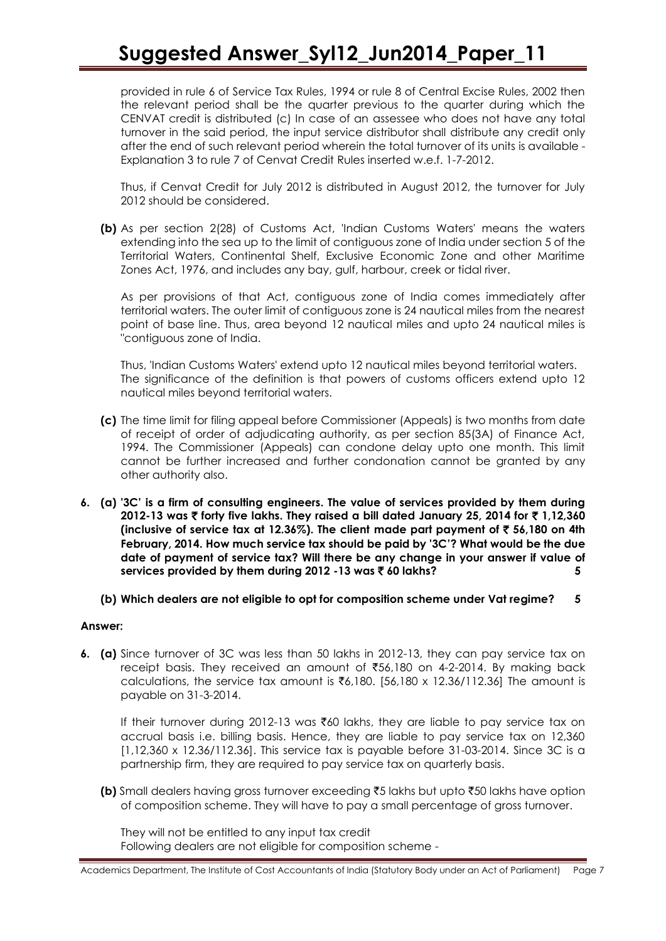provided in rule 6 of Service Tax Rules, 1994 or rule 8 of Central Excise Rules, 2002 then the relevant period shall be the quarter previous to the quarter during which the CENVAT credit is distributed (c) In case of an assessee who does not have any total turnover in the said period, the input service distributor shall distribute any credit only after the end of such relevant period wherein the total turnover of its units is available - Explanation 3 to rule 7 of Cenvat Credit Rules inserted w.e.f. 1-7-2012.

Thus, if Cenvat Credit for July 2012 is distributed in August 2012, the turnover for July 2012 should be considered.

**(b)** As per section 2(28) of Customs Act, 'Indian Customs Waters' means the waters extending into the sea up to the limit of contiguous zone of India under section 5 of the Territorial Waters, Continental Shelf, Exclusive Economic Zone and other Maritime Zones Act, 1976, and includes any bay, gulf, harbour, creek or tidal river.

As per provisions of that Act, contiguous zone of India comes immediately after territorial waters. The outer limit of contiguous zone is 24 nautical miles from the nearest point of base line. Thus, area beyond 12 nautical miles and upto 24 nautical miles is "contiguous zone of India.

Thus, 'Indian Customs Waters' extend upto 12 nautical miles beyond territorial waters. The significance of the definition is that powers of customs officers extend upto 12 nautical miles beyond territorial waters.

- **(c)** The time limit for filing appeal before Commissioner (Appeals) is two months from date of receipt of order of adjudicating authority, as per section 85(3A) of Finance Act, 1994. The Commissioner (Appeals) can condone delay upto one month. This limit cannot be further increased and further condonation cannot be granted by any other authority also.
- **6. (a) '3C' is a firm of consulting engineers. The value of services provided by them during 2012-13 was ₹ forty five lakhs. They raised a bill dated January 25, 2014 for ₹ 1,12,360 (inclusive of service tax at 12.36%). The client made part payment of** ` **56,180 on 4th February, 2014. How much service tax should be paid by '3C'? What would be the due date of payment of service tax? Will there be any change in your answer if value of services provided by them during 2012 -13 was** ` **60 lakhs? 5**
	- **(b) Which dealers are not eligible to opt for composition scheme under Vat regime? 5**

### **Answer:**

**6. (a)** Since turnover of 3C was less than 50 lakhs in 2012-13, they can pay service tax on receipt basis. They received an amount of  $\overline{5}56,180$  on 4-2-2014. By making back calculations, the service tax amount is  $\bar{\mathfrak{e}}$ ,180. [56,180 x 12.36/112.36] The amount is payable on 31-3-2014.

If their turnover during 2012-13 was ₹60 lakhs, they are liable to pay service tax on accrual basis i.e. billing basis. Hence, they are liable to pay service tax on 12,360 [1,12,360 x 12.36/112.36]. This service tax is payable before 31-03-2014. Since 3C is a partnership firm, they are required to pay service tax on quarterly basis.

**(b)** Small dealers having gross turnover exceeding ₹5 lakhs but upto ₹50 lakhs have option of composition scheme. They will have to pay a small percentage of gross turnover.

They will not be entitled to any input tax credit Following dealers are not eligible for composition scheme -

Academics Department, The Institute of Cost Accountants of India (Statutory Body under an Act of Parliament) Page 7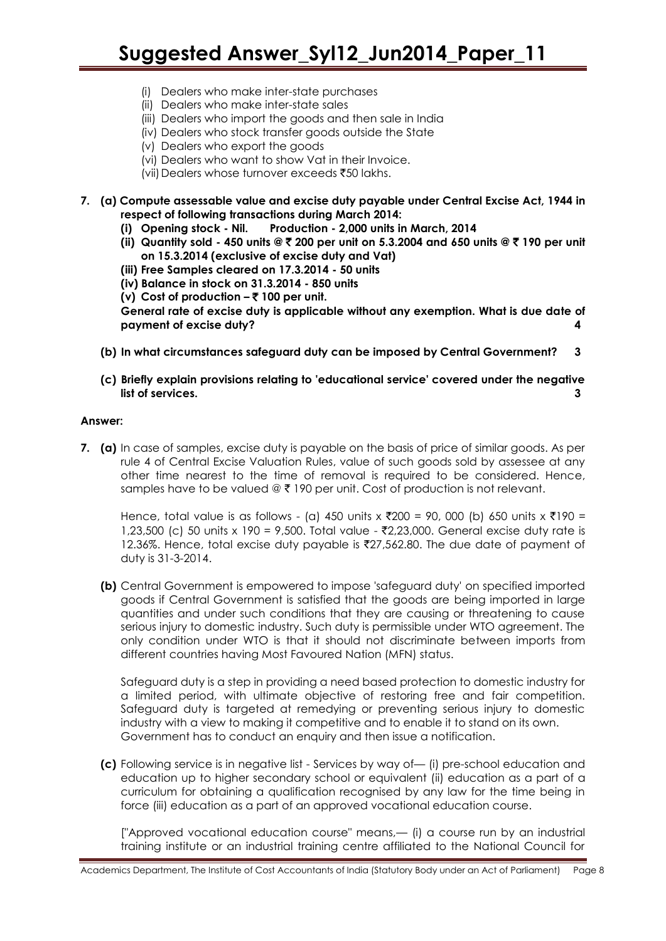- (i) Dealers who make inter-state purchases
- (ii) Dealers who make inter-state sales
- (iii) Dealers who import the goods and then sale in India
- (iv) Dealers who stock transfer goods outside the State
- (v) Dealers who export the goods
- (vi) Dealers who want to show Vat in their Invoice.
- (vii) Dealers whose turnover exceeds  $\bar{x}50$  lakhs.
- **7. (a) Compute assessable value and excise duty payable under Central Excise Act, 1944 in respect of following transactions during March 2014:** 
	- **(i) Opening stock - Nil. Production - 2,000 units in March, 2014**
	- **(ii) Quantity sold - 450 units @** ` **200 per unit on 5.3.2004 and 650 units @** ` **190 per unit on 15.3.2014 (exclusive of excise duty and Vat)**
	- **(iii) Free Samples cleared on 17.3.2014 - 50 units**
	- **(iv) Balance in stock on 31.3.2014 - 850 units**
	- **(v) Cost of production –** ` **100 per unit.**

**General rate of excise duty is applicable without any exemption. What is due date of payment of excise duty? 4**

- **(b) In what circumstances safeguard duty can be imposed by Central Government? 3**
- **(c) Briefly explain provisions relating to 'educational service' covered under the negative list of services. 3**

#### **Answer:**

**7. (a)** In case of samples, excise duty is payable on the basis of price of similar goods. As per rule 4 of Central Excise Valuation Rules, value of such goods sold by assessee at any other time nearest to the time of removal is required to be considered. Hence, samples have to be valued  $\mathcal{Q} \bar{\tau}$  190 per unit. Cost of production is not relevant.

Hence, total value is as follows - (a) 450 units x  $\overline{200}$  = 90, 000 (b) 650 units x  $\overline{2190}$  = 1,23,500 (c) 50 units x 190 = 9,500. Total value - ₹2,23,000. General excise duty rate is 12.36%. Hence, total excise duty payable is  $\overline{27,562.80}$ . The due date of payment of duty is 31-3-2014.

**(b)** Central Government is empowered to impose 'safeguard duty' on specified imported goods if Central Government is satisfied that the goods are being imported in large quantities and under such conditions that they are causing or threatening to cause serious injury to domestic industry. Such duty is permissible under WTO agreement. The only condition under WTO is that it should not discriminate between imports from different countries having Most Favoured Nation (MFN) status.

Safeguard duty is a step in providing a need based protection to domestic industry for a limited period, with ultimate objective of restoring free and fair competition. Safeguard duty is targeted at remedying or preventing serious injury to domestic industry with a view to making it competitive and to enable it to stand on its own. Government has to conduct an enquiry and then issue a notification.

**(c)** Following service is in negative list - Services by way of— (i) pre-school education and education up to higher secondary school or equivalent (ii) education as a part of a curriculum for obtaining a qualification recognised by any law for the time being in force (iii) education as a part of an approved vocational education course.

["Approved vocational education course" means,— (i) a course run by an industrial training institute or an industrial training centre affiliated to the National Council for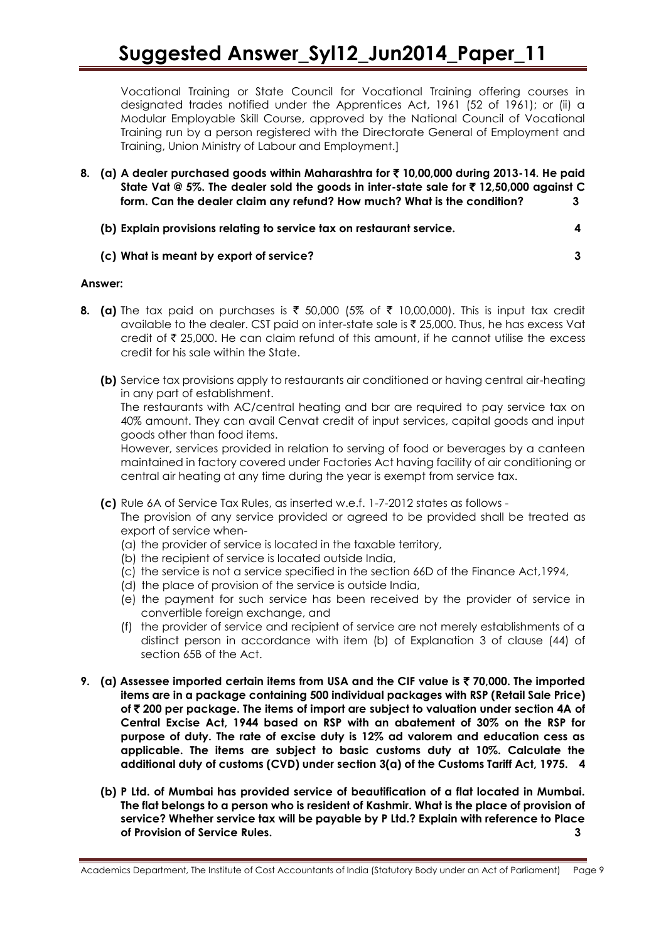Vocational Training or State Council for Vocational Training offering courses in designated trades notified under the Apprentices Act, 1961 (52 of 1961); or (ii) a Modular Employable Skill Course, approved by the National Council of Vocational Training run by a person registered with the Directorate General of Employment and Training, Union Ministry of Labour and Employment.]

**8. (a) A dealer purchased goods within Maharashtra for** ` **10,00,000 during 2013-14. He paid State Vat @ 5%. The dealer sold the goods in inter-state sale for** ` **12,50,000 against C form. Can the dealer claim any refund? How much? What is the condition? 3**

| (b) Explain provisions relating to service tax on restaurant service. |  |
|-----------------------------------------------------------------------|--|
|-----------------------------------------------------------------------|--|

# **(c) What is meant by export of service? 3**

# **Answer:**

- **8.** (a) The tax paid on purchases is  $\bar{\tau}$  50,000 (5% of  $\bar{\tau}$  10,00,000). This is input tax credit available to the dealer. CST paid on inter-state sale is  $\bar{\tau}$  25,000. Thus, he has excess Vat credit of  $\bar{\tau}$  25,000. He can claim refund of this amount, if he cannot utilise the excess credit for his sale within the State.
	- **(b)** Service tax provisions apply to restaurants air conditioned or having central air-heating in any part of establishment.

The restaurants with AC/central heating and bar are required to pay service tax on 40% amount. They can avail Cenvat credit of input services, capital goods and input goods other than food items.

However, services provided in relation to serving of food or beverages by a canteen maintained in factory covered under Factories Act having facility of air conditioning or central air heating at any time during the year is exempt from service tax.

**(c)** Rule 6A of Service Tax Rules, as inserted w.e.f. 1-7-2012 states as follows -

The provision of any service provided or agreed to be provided shall be treated as export of service when-

- (a) the provider of service is located in the taxable territory,
- (b) the recipient of service is located outside India,
- (c) the service is not a service specified in the section 66D of the Finance Act,1994,
- (d) the place of provision of the service is outside India,
- (e) the payment for such service has been received by the provider of service in convertible foreign exchange, and
- (f) the provider of service and recipient of service are not merely establishments of a distinct person in accordance with item (b) of Explanation 3 of clause (44) of section 65B of the Act.
- **9. (a) Assessee imported certain items from USA and the CIF value is** ` **70,000. The imported items are in a package containing 500 individual packages with RSP (Retail Sale Price) of** ` **200 per package. The items of import are subject to valuation under section 4A of Central Excise Act, 1944 based on RSP with an abatement of 30% on the RSP for purpose of duty. The rate of excise duty is 12% ad valorem and education cess as applicable. The items are subject to basic customs duty at 10%. Calculate the additional duty of customs (CVD) under section 3(a) of the Customs Tariff Act, 1975. 4**
	- **(b) P Ltd. of Mumbai has provided service of beautification of a flat located in Mumbai. The flat belongs to a person who is resident of Kashmir. What is the place of provision of service? Whether service tax will be payable by P Ltd.? Explain with reference to Place of Provision of Service Rules. 3**

Academics Department, The Institute of Cost Accountants of India (Statutory Body under an Act of Parliament) Page 9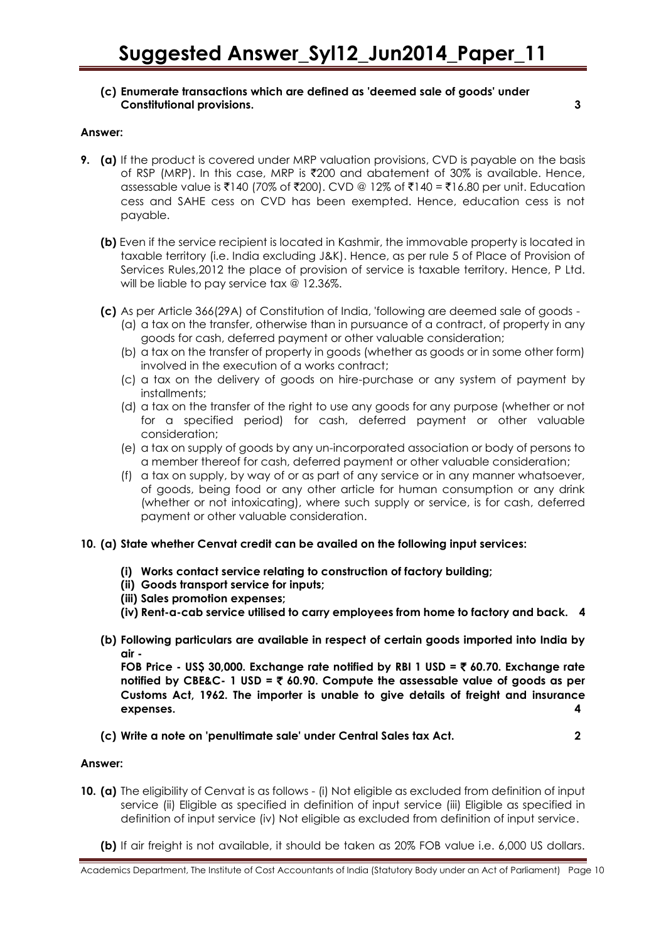## **(c) Enumerate transactions which are defined as 'deemed sale of goods' under Constitutional provisions. 3**

#### **Answer:**

- **9. (a)** If the product is covered under MRP valuation provisions, CVD is payable on the basis of RSP (MRP). In this case, MRP is `200 and abatement of 30% is available. Hence, assessable value is ₹140 (70% of ₹200). CVD @ 12% of ₹140 = ₹16.80 per unit. Education cess and SAHE cess on CVD has been exempted. Hence, education cess is not payable.
	- **(b)** Even if the service recipient is located in Kashmir, the immovable property is located in taxable territory (i.e. India excluding J&K). Hence, as per rule 5 of Place of Provision of Services Rules,2012 the place of provision of service is taxable territory. Hence, P Ltd. will be liable to pay service tax @ 12.36%.
	- **(c)** As per Article 366(29A) of Constitution of India, 'following are deemed sale of goods
		- (a) a tax on the transfer, otherwise than in pursuance of a contract, of property in any goods for cash, deferred payment or other valuable consideration;
		- (b) a tax on the transfer of property in goods (whether as goods or in some other form) involved in the execution of a works contract;
		- (c) a tax on the delivery of goods on hire-purchase or any system of payment by installments;
		- (d) a tax on the transfer of the right to use any goods for any purpose (whether or not for a specified period) for cash, deferred payment or other valuable consideration;
		- (e) a tax on supply of goods by any un-incorporated association or body of persons to a member thereof for cash, deferred payment or other valuable consideration;
		- (f) a tax on supply, by way of or as part of any service or in any manner whatsoever, of goods, being food or any other article for human consumption or any drink (whether or not intoxicating), where such supply or service, is for cash, deferred payment or other valuable consideration.

### **10. (a) State whether Cenvat credit can be availed on the following input services:**

- **(i) Works contact service relating to construction of factory building;**
- **(ii) Goods transport service for inputs;**
- **(iii) Sales promotion expenses;**
- **(iv) Rent-a-cab service utilised to carry employees from home to factory and back. 4**
- **(b) Following particulars are available in respect of certain goods imported into India by air -**

**FOB Price - US\$ 30,000. Exchange rate notified by RBI 1 USD =** ` **60.70. Exchange rate notified by CBE&C- 1 USD =** ` **60.90. Compute the assessable value of goods as per Customs Act, 1962. The importer is unable to give details of freight and insurance expenses. 4**

**(c) Write a note on 'penultimate sale' under Central Sales tax Act. 2**

### **Answer:**

- **10. (a)** The eligibility of Cenvat is as follows (i) Not eligible as excluded from definition of input service (ii) Eligible as specified in definition of input service (iii) Eligible as specified in definition of input service (iv) Not eligible as excluded from definition of input service.
	- **(b)** If air freight is not available, it should be taken as 20% FOB value i.e. 6,000 US dollars.

Academics Department, The Institute of Cost Accountants of India (Statutory Body under an Act of Parliament) Page 10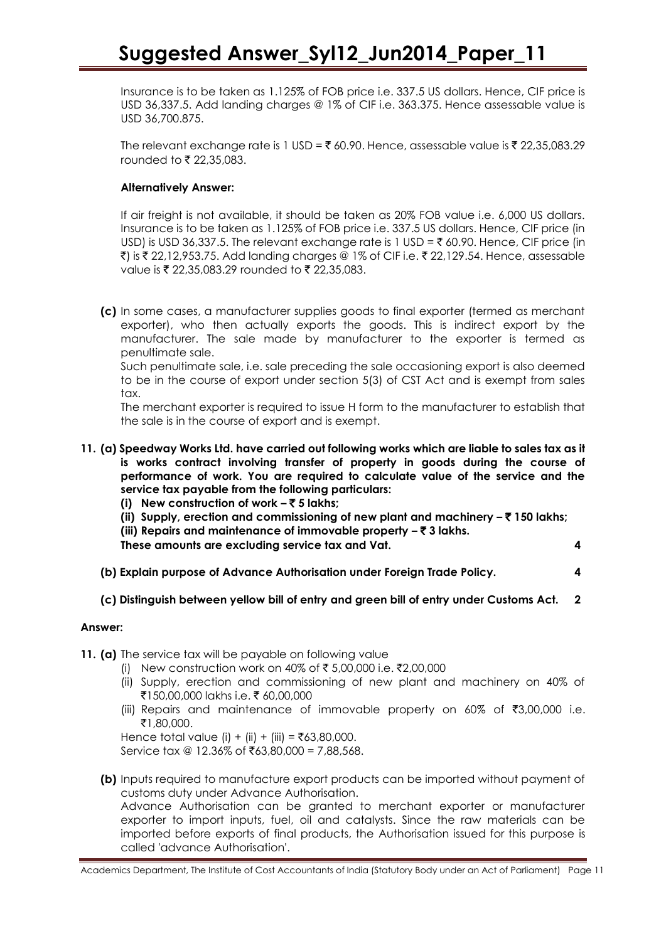Insurance is to be taken as 1.125% of FOB price i.e. 337.5 US dollars. Hence, CIF price is USD 36,337.5. Add landing charges @ 1% of CIF i.e. 363.375. Hence assessable value is USD 36,700.875.

The relevant exchange rate is 1 USD = ₹ 60.90. Hence, assessable value is ₹ 22,35,083.29 rounded to  $\bar{\tau}$  22,35,083.

# **Alternatively Answer:**

If air freight is not available, it should be taken as 20% FOB value i.e. 6,000 US dollars. Insurance is to be taken as 1.125% of FOB price i.e. 337.5 US dollars. Hence, CIF price (in USD) is USD 36,337.5. The relevant exchange rate is 1 USD =  $\bar{\tau}$  60.90. Hence, CIF price (in ₹) is ₹ 22,12,953.75. Add landing charges @ 1% of CIF i.e. ₹ 22,129.54. Hence, assessable value is  $\bar{\tau}$  22,35,083.29 rounded to  $\bar{\tau}$  22,35,083.

**(c)** In some cases, a manufacturer supplies goods to final exporter (termed as merchant exporter), who then actually exports the goods. This is indirect export by the manufacturer. The sale made by manufacturer to the exporter is termed as penultimate sale.

Such penultimate sale, i.e. sale preceding the sale occasioning export is also deemed to be in the course of export under section 5(3) of CST Act and is exempt from sales tax.

The merchant exporter is required to issue H form to the manufacturer to establish that the sale is in the course of export and is exempt.

- **11. (a) Speedway Works Ltd. have carried out following works which are liable to sales tax as it is works contract involving transfer of property in goods during the course of performance of work. You are required to calculate value of the service and the service tax payable from the following particulars:**
	- **(i) New construction of work –** ` **5 lakhs;**
	- **(ii) Supply, erection and commissioning of new plant and machinery –** ` **150 lakhs;**
	- **(iii) Repairs and maintenance of immovable property –** ` **3 lakhs.**
	- **These amounts are excluding service tax and Vat. 4**

**(b) Explain purpose of Advance Authorisation under Foreign Trade Policy. 4**

### **(c) Distinguish between yellow bill of entry and green bill of entry under Customs Act. 2**

### **Answer:**

- **11. (a)** The service tax will be payable on following value
	- (i) New construction work on 40% of ₹ 5,00,000 i.e.  $\bar{\tau}$ 2,00,000
	- (ii) Supply, erection and commissioning of new plant and machinery on 40% of ₹150,00,000 lakhs i.e. ₹60,00,000
	- (iii) Repairs and maintenance of immovable property on 60% of  $\bar{\bar{\tau}}$ 3,00,000 i.e. `1,80,000.

Hence total value (i) + (ii) + (iii) = ₹63,80,000.

Service  $\text{tax} \textcircled{a} 12.36\%$  of ₹63,80,000 = 7,88,568.

**(b)** Inputs required to manufacture export products can be imported without payment of customs duty under Advance Authorisation.

Advance Authorisation can be granted to merchant exporter or manufacturer exporter to import inputs, fuel, oil and catalysts. Since the raw materials can be imported before exports of final products, the Authorisation issued for this purpose is called 'advance Authorisation'.

Academics Department, The Institute of Cost Accountants of India (Statutory Body under an Act of Parliament) Page 11